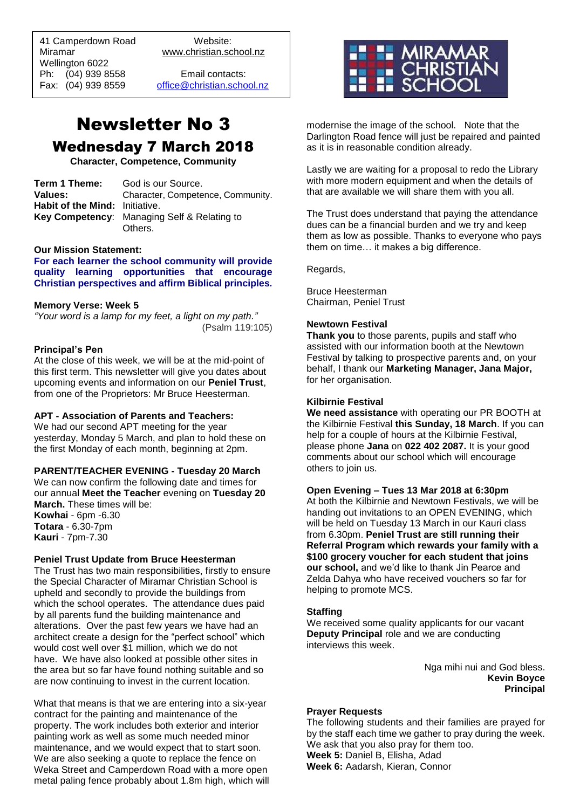41 Camperdown Road Website:<br>Miramar Www.christian.sc Wellington 6022 Ph: (04) 939 8558 Email contacts:

 $\overline{a}$ 

www.christian.school.nz

Fax: (04) 939 8559 [office@christian.school.nz](mailto:office@christian.school.nz)

# Newsletter No 3 Wednesday 7 March 2018

**Character, Competence, Community**

| Term 1 Theme:                  | God is our Source.                                 |
|--------------------------------|----------------------------------------------------|
| Values:                        | Character, Competence, Community.                  |
| Habit of the Mind: Initiative. |                                                    |
|                                | <b>Key Competency:</b> Managing Self & Relating to |
|                                | Others.                                            |

#### **Our Mission Statement:**

**For each learner the school community will provide quality learning opportunities that encourage Christian perspectives and affirm Biblical principles***.*

#### **Memory Verse: Week 5**

*"Your word is a lamp for my feet, a light on my path."* (Psalm 119:105)

#### **Principal's Pen**

At the close of this week, we will be at the mid-point of this first term. This newsletter will give you dates about upcoming events and information on our **Peniel Trust**, from one of the Proprietors: Mr Bruce Heesterman.

## **APT - Association of Parents and Teachers:**

We had our second APT meeting for the year yesterday, Monday 5 March, and plan to hold these on the first Monday of each month, beginning at 2pm.

#### **PARENT/TEACHER EVENING - Tuesday 20 March**

We can now confirm the following date and times for our annual **Meet the Teacher** evening on **Tuesday 20 March.** These times will be: **Kowhai** - 6pm - 6.30 **Totara** - 6.30-7pm **Kauri** - 7pm-7.30

#### **Peniel Trust Update from Bruce Heesterman**

The Trust has two main responsibilities, firstly to ensure the Special Character of Miramar Christian School is upheld and secondly to provide the buildings from which the school operates. The attendance dues paid by all parents fund the building maintenance and alterations. Over the past few years we have had an architect create a design for the "perfect school" which would cost well over \$1 million, which we do not have. We have also looked at possible other sites in the area but so far have found nothing suitable and so are now continuing to invest in the current location.

What that means is that we are entering into a six-year contract for the painting and maintenance of the property. The work includes both exterior and interior painting work as well as some much needed minor maintenance, and we would expect that to start soon. We are also seeking a quote to replace the fence on Weka Street and Camperdown Road with a more open metal paling fence probably about 1.8m high, which will



modernise the image of the school. Note that the Darlington Road fence will just be repaired and painted as it is in reasonable condition already.

Lastly we are waiting for a proposal to redo the Library with more modern equipment and when the details of that are available we will share them with you all.

The Trust does understand that paying the attendance dues can be a financial burden and we try and keep them as low as possible. Thanks to everyone who pays them on time… it makes a big difference.

Regards,

Bruce Heesterman Chairman, Peniel Trust

#### **Newtown Festival**

**Thank you** to those parents, pupils and staff who assisted with our information booth at the Newtown Festival by talking to prospective parents and, on your behalf, I thank our **Marketing Manager, Jana Major,** for her organisation.

#### **Kilbirnie Festival**

**We need assistance** with operating our PR BOOTH at the Kilbirnie Festival **this Sunday, 18 March**. If you can help for a couple of hours at the Kilbirnie Festival, please phone **Jana** on **022 402 2087.** It is your good comments about our school which will encourage others to join us.

#### **Open Evening – Tues 13 Mar 2018 at 6:30pm**

At both the Kilbirnie and Newtown Festivals, we will be handing out invitations to an OPEN EVENING, which will be held on Tuesday 13 March in our Kauri class from 6.30pm. **Peniel Trust are still running their Referral Program which rewards your family with a \$100 grocery voucher for each student that joins our school,** and we'd like to thank Jin Pearce and Zelda Dahya who have received vouchers so far for helping to promote MCS.

#### **Staffing**

We received some quality applicants for our vacant **Deputy Principal** role and we are conducting interviews this week.

> Nga mihi nui and God bless. **Kevin Boyce Principal**

#### **Prayer Requests**

The following students and their families are prayed for by the staff each time we gather to pray during the week. We ask that you also pray for them too. **Week 5:** Daniel B, Elisha, Adad **Week 6:** Aadarsh, Kieran, Connor